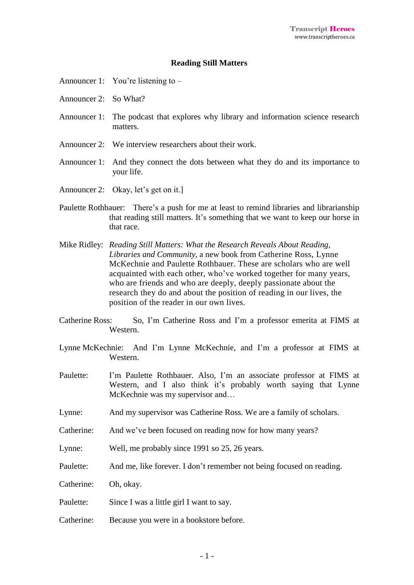## **Reading Still Matters**

- Announcer 1: You're listening to –
- Announcer 2: So What?
- Announcer 1: The podcast that explores why library and information science research matters.
- Announcer 2: We interview researchers about their work.
- Announcer 1: And they connect the dots between what they do and its importance to your life.
- Announcer 2: Okay, let's get on it.]
- Paulette Rothbauer: There's a push for me at least to remind libraries and librarianship that reading still matters. It's something that we want to keep our horse in that race.
- Mike Ridley: *Reading Still Matters: What the Research Reveals About Reading, Libraries and Community*, a new book from Catherine Ross, Lynne McKechnie and Paulette Rothbauer. These are scholars who are well acquainted with each other, who've worked together for many years, who are friends and who are deeply, deeply passionate about the research they do and about the position of reading in our lives, the position of the reader in our own lives.
- Catherine Ross: So, I'm Catherine Ross and I'm a professor emerita at FIMS at Western.
- Lynne McKechnie: And I'm Lynne McKechnie, and I'm a professor at FIMS at Western.
- Paulette: I'm Paulette Rothbauer. Also, I'm an associate professor at FIMS at Western, and I also think it's probably worth saying that Lynne McKechnie was my supervisor and…
- Lynne: And my supervisor was Catherine Ross. We are a family of scholars.
- Catherine: And we've been focused on reading now for how many years?
- Lynne: Well, me probably since 1991 so 25, 26 years.
- Paulette: And me, like forever. I don't remember not being focused on reading.
- Catherine: Oh, okay.
- Paulette: Since I was a little girl I want to say.
- Catherine: Because you were in a bookstore before.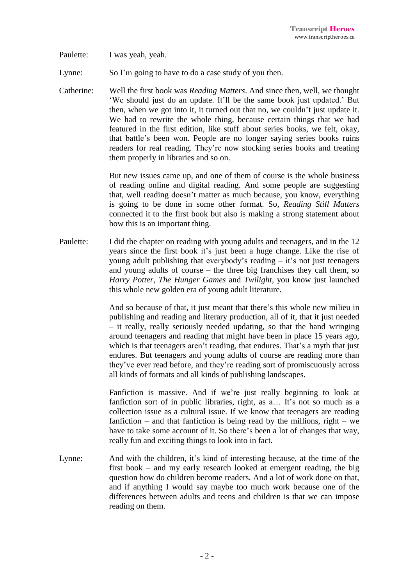Paulette: I was yeah, yeah.

Lynne: So I'm going to have to do a case study of you then.

Catherine: Well the first book was *Reading Matters*. And since then, well, we thought 'We should just do an update. It'll be the same book just updated.' But then, when we got into it, it turned out that no, we couldn't just update it. We had to rewrite the whole thing, because certain things that we had featured in the first edition, like stuff about series books, we felt, okay, that battle's been won. People are no longer saying series books ruins readers for real reading. They're now stocking series books and treating them properly in libraries and so on.

> But new issues came up, and one of them of course is the whole business of reading online and digital reading. And some people are suggesting that, well reading doesn't matter as much because, you know, everything is going to be done in some other format. So, *Reading Still Matters* connected it to the first book but also is making a strong statement about how this is an important thing.

Paulette: I did the chapter on reading with young adults and teenagers, and in the 12 years since the first book it's just been a huge change. Like the rise of young adult publishing that everybody's reading – it's not just teenagers and young adults of course – the three big franchises they call them, so *Harry Potter, The Hunger Games* and *Twilight*, you know just launched this whole new golden era of young adult literature.

> And so because of that, it just meant that there's this whole new milieu in publishing and reading and literary production, all of it, that it just needed – it really, really seriously needed updating, so that the hand wringing around teenagers and reading that might have been in place 15 years ago, which is that teenagers aren't reading, that endures. That's a myth that just endures. But teenagers and young adults of course are reading more than they've ever read before, and they're reading sort of promiscuously across all kinds of formats and all kinds of publishing landscapes.

> Fanfiction is massive. And if we're just really beginning to look at fanfiction sort of in public libraries, right, as a… It's not so much as a collection issue as a cultural issue. If we know that teenagers are reading fanfiction – and that fanfiction is being read by the millions, right – we have to take some account of it. So there's been a lot of changes that way, really fun and exciting things to look into in fact.

Lynne: And with the children, it's kind of interesting because, at the time of the first book – and my early research looked at emergent reading, the big question how do children become readers. And a lot of work done on that, and if anything I would say maybe too much work because one of the differences between adults and teens and children is that we can impose reading on them.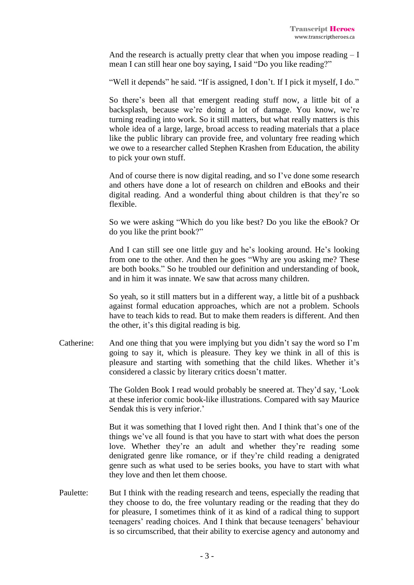And the research is actually pretty clear that when you impose reading  $-I$ mean I can still hear one boy saying, I said "Do you like reading?"

"Well it depends" he said. "If is assigned, I don't. If I pick it myself, I do."

So there's been all that emergent reading stuff now, a little bit of a backsplash, because we're doing a lot of damage. You know, we're turning reading into work. So it still matters, but what really matters is this whole idea of a large, large, broad access to reading materials that a place like the public library can provide free, and voluntary free reading which we owe to a researcher called Stephen Krashen from Education, the ability to pick your own stuff.

And of course there is now digital reading, and so I've done some research and others have done a lot of research on children and eBooks and their digital reading. And a wonderful thing about children is that they're so flexible.

So we were asking "Which do you like best? Do you like the eBook? Or do you like the print book?"

And I can still see one little guy and he's looking around. He's looking from one to the other. And then he goes "Why are you asking me? These are both books." So he troubled our definition and understanding of book, and in him it was innate. We saw that across many children.

So yeah, so it still matters but in a different way, a little bit of a pushback against formal education approaches, which are not a problem. Schools have to teach kids to read. But to make them readers is different. And then the other, it's this digital reading is big.

Catherine: And one thing that you were implying but you didn't say the word so I'm going to say it, which is pleasure. They key we think in all of this is pleasure and starting with something that the child likes. Whether it's considered a classic by literary critics doesn't matter.

> The Golden Book I read would probably be sneered at. They'd say, 'Look at these inferior comic book-like illustrations. Compared with say Maurice Sendak this is very inferior.'

> But it was something that I loved right then. And I think that's one of the things we've all found is that you have to start with what does the person love. Whether they're an adult and whether they're reading some denigrated genre like romance, or if they're child reading a denigrated genre such as what used to be series books, you have to start with what they love and then let them choose.

Paulette: But I think with the reading research and teens, especially the reading that they choose to do, the free voluntary reading or the reading that they do for pleasure, I sometimes think of it as kind of a radical thing to support teenagers' reading choices. And I think that because teenagers' behaviour is so circumscribed, that their ability to exercise agency and autonomy and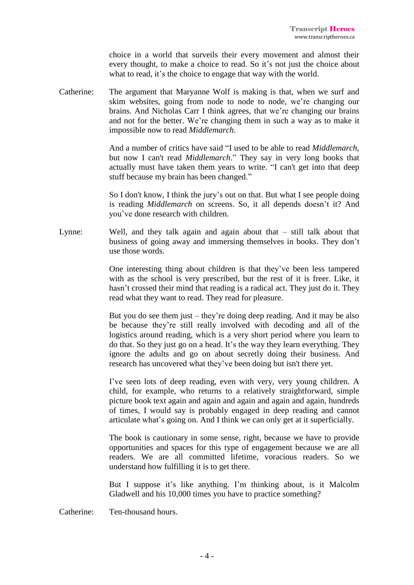choice in a world that surveils their every movement and almost their every thought, to make a choice to read. So it's not just the choice about what to read, it's the choice to engage that way with the world.

Catherine: The argument that Maryanne Wolf is making is that, when we surf and skim websites, going from node to node to node, we're changing our brains. And Nicholas Carr I think agrees, that we're changing our brains and not for the better. We're changing them in such a way as to make it impossible now to read *Middlemarch*.

> And a number of critics have said "I used to be able to read *Middlemarch*, but now I can't read *Middlemarch*." They say in very long books that actually must have taken them years to write. "I can't get into that deep stuff because my brain has been changed."

> So I don't know, I think the jury's out on that. But what I see people doing is reading *Middlemarch* on screens. So, it all depends doesn't it? And you've done research with children.

Lynne: Well, and they talk again and again about that – still talk about that business of going away and immersing themselves in books. They don't use those words.

> One interesting thing about children is that they've been less tampered with as the school is very prescribed, but the rest of it is freer. Like, it hasn't crossed their mind that reading is a radical act. They just do it. They read what they want to read. They read for pleasure.

> But you do see them just – they're doing deep reading. And it may be also be because they're still really involved with decoding and all of the logistics around reading, which is a very short period where you learn to do that. So they just go on a head. It's the way they learn everything. They ignore the adults and go on about secretly doing their business. And research has uncovered what they've been doing but isn't there yet.

> I've seen lots of deep reading, even with very, very young children. A child, for example, who returns to a relatively straightforward, simple picture book text again and again and again and again and again, hundreds of times, I would say is probably engaged in deep reading and cannot articulate what's going on. And I think we can only get at it superficially.

> The book is cautionary in some sense, right, because we have to provide opportunities and spaces for this type of engagement because we are all readers. We are all committed lifetime, voracious readers. So we understand how fulfilling it is to get there.

> But I suppose it's like anything. I'm thinking about, is it Malcolm Gladwell and his 10,000 times you have to practice something?

Catherine: Ten-thousand hours.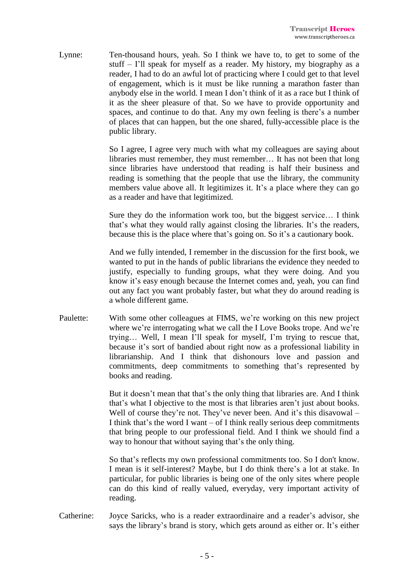Lynne: Ten-thousand hours, yeah. So I think we have to, to get to some of the stuff – I'll speak for myself as a reader. My history, my biography as a reader, I had to do an awful lot of practicing where I could get to that level of engagement, which is it must be like running a marathon faster than anybody else in the world. I mean I don't think of it as a race but I think of it as the sheer pleasure of that. So we have to provide opportunity and spaces, and continue to do that. Any my own feeling is there's a number of places that can happen, but the one shared, fully-accessible place is the public library.

> So I agree, I agree very much with what my colleagues are saying about libraries must remember, they must remember… It has not been that long since libraries have understood that reading is half their business and reading is something that the people that use the library, the community members value above all. It legitimizes it. It's a place where they can go as a reader and have that legitimized.

> Sure they do the information work too, but the biggest service… I think that's what they would rally against closing the libraries. It's the readers, because this is the place where that's going on. So it's a cautionary book.

> And we fully intended, I remember in the discussion for the first book, we wanted to put in the hands of public librarians the evidence they needed to justify, especially to funding groups, what they were doing. And you know it's easy enough because the Internet comes and, yeah, you can find out any fact you want probably faster, but what they do around reading is a whole different game.

Paulette: With some other colleagues at FIMS, we're working on this new project where we're interrogating what we call the I Love Books trope. And we're trying… Well, I mean I'll speak for myself, I'm trying to rescue that, because it's sort of bandied about right now as a professional liability in librarianship. And I think that dishonours love and passion and commitments, deep commitments to something that's represented by books and reading.

> But it doesn't mean that that's the only thing that libraries are. And I think that's what I objective to the most is that libraries aren't just about books. Well of course they're not. They've never been. And it's this disavowal – I think that's the word I want – of I think really serious deep commitments that bring people to our professional field. And I think we should find a way to honour that without saying that's the only thing.

> So that's reflects my own professional commitments too. So I don't know. I mean is it self-interest? Maybe, but I do think there's a lot at stake. In particular, for public libraries is being one of the only sites where people can do this kind of really valued, everyday, very important activity of reading.

Catherine: Joyce Saricks, who is a reader extraordinaire and a reader's advisor, she says the library's brand is story, which gets around as either or. It's either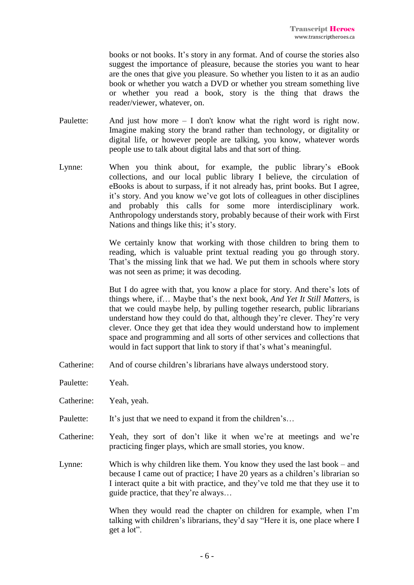books or not books. It's story in any format. And of course the stories also suggest the importance of pleasure, because the stories you want to hear are the ones that give you pleasure. So whether you listen to it as an audio book or whether you watch a DVD or whether you stream something live or whether you read a book, story is the thing that draws the reader/viewer, whatever, on.

- Paulette: And just how more  $I$  don't know what the right word is right now. Imagine making story the brand rather than technology, or digitality or digital life, or however people are talking, you know, whatever words people use to talk about digital labs and that sort of thing.
- Lynne: When you think about, for example, the public library's eBook collections, and our local public library I believe, the circulation of eBooks is about to surpass, if it not already has, print books. But I agree, it's story. And you know we've got lots of colleagues in other disciplines and probably this calls for some more interdisciplinary work. Anthropology understands story, probably because of their work with First Nations and things like this; it's story.

We certainly know that working with those children to bring them to reading, which is valuable print textual reading you go through story. That's the missing link that we had. We put them in schools where story was not seen as prime; it was decoding.

But I do agree with that, you know a place for story. And there's lots of things where, if… Maybe that's the next book, *And Yet It Still Matters*, is that we could maybe help, by pulling together research, public librarians understand how they could do that, although they're clever. They're very clever. Once they get that idea they would understand how to implement space and programming and all sorts of other services and collections that would in fact support that link to story if that's what's meaningful.

Catherine: And of course children's librarians have always understood story.

Paulette: Yeah.

Catherine: Yeah, yeah.

- Paulette: It's just that we need to expand it from the children's...
- Catherine: Yeah, they sort of don't like it when we're at meetings and we're practicing finger plays, which are small stories, you know.
- Lynne: Which is why children like them. You know they used the last book and because I came out of practice; I have 20 years as a children's librarian so I interact quite a bit with practice, and they've told me that they use it to guide practice, that they're always…

When they would read the chapter on children for example, when I'm talking with children's librarians, they'd say "Here it is, one place where I get a lot".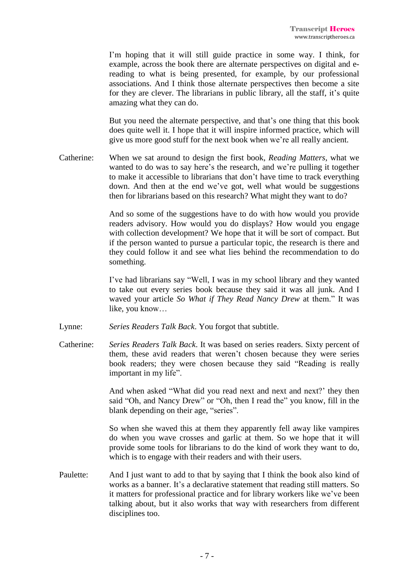I'm hoping that it will still guide practice in some way. I think, for example, across the book there are alternate perspectives on digital and ereading to what is being presented, for example, by our professional associations. And I think those alternate perspectives then become a site for they are clever. The librarians in public library, all the staff, it's quite amazing what they can do.

But you need the alternate perspective, and that's one thing that this book does quite well it. I hope that it will inspire informed practice, which will give us more good stuff for the next book when we're all really ancient.

Catherine: When we sat around to design the first book, *Reading Matters*, what we wanted to do was to say here's the research, and we're pulling it together to make it accessible to librarians that don't have time to track everything down. And then at the end we've got, well what would be suggestions then for librarians based on this research? What might they want to do?

> And so some of the suggestions have to do with how would you provide readers advisory. How would you do displays? How would you engage with collection development? We hope that it will be sort of compact. But if the person wanted to pursue a particular topic, the research is there and they could follow it and see what lies behind the recommendation to do something.

> I've had librarians say "Well, I was in my school library and they wanted to take out every series book because they said it was all junk. And I waved your article *So What if They Read Nancy Drew* at them." It was like, you know…

- Lynne: *Series Readers Talk Back*. You forgot that subtitle.
- Catherine: *Series Readers Talk Back*. It was based on series readers. Sixty percent of them, these avid readers that weren't chosen because they were series book readers; they were chosen because they said "Reading is really important in my life".

And when asked "What did you read next and next and next?' they then said "Oh, and Nancy Drew" or "Oh, then I read the" you know, fill in the blank depending on their age, "series".

So when she waved this at them they apparently fell away like vampires do when you wave crosses and garlic at them. So we hope that it will provide some tools for librarians to do the kind of work they want to do, which is to engage with their readers and with their users.

Paulette: And I just want to add to that by saying that I think the book also kind of works as a banner. It's a declarative statement that reading still matters. So it matters for professional practice and for library workers like we've been talking about, but it also works that way with researchers from different disciplines too.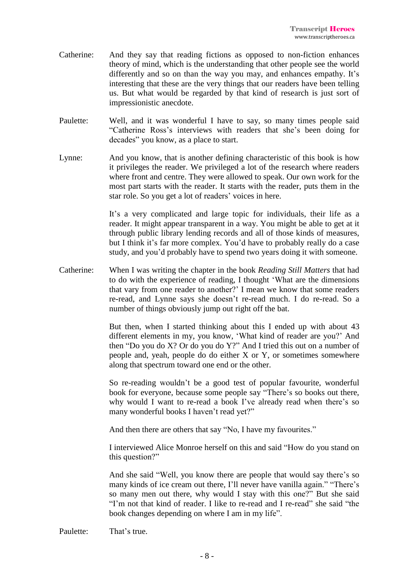- Catherine: And they say that reading fictions as opposed to non-fiction enhances theory of mind, which is the understanding that other people see the world differently and so on than the way you may, and enhances empathy. It's interesting that these are the very things that our readers have been telling us. But what would be regarded by that kind of research is just sort of impressionistic anecdote.
- Paulette: Well, and it was wonderful I have to say, so many times people said "Catherine Ross's interviews with readers that she's been doing for decades" you know, as a place to start.
- Lynne: And you know, that is another defining characteristic of this book is how it privileges the reader. We privileged a lot of the research where readers where front and centre. They were allowed to speak. Our own work for the most part starts with the reader. It starts with the reader, puts them in the star role. So you get a lot of readers' voices in here.

It's a very complicated and large topic for individuals, their life as a reader. It might appear transparent in a way. You might be able to get at it through public library lending records and all of those kinds of measures, but I think it's far more complex. You'd have to probably really do a case study, and you'd probably have to spend two years doing it with someone.

Catherine: When I was writing the chapter in the book *Reading Still Matters* that had to do with the experience of reading, I thought 'What are the dimensions that vary from one reader to another?' I mean we know that some readers re-read, and Lynne says she doesn't re-read much. I do re-read. So a number of things obviously jump out right off the bat.

> But then, when I started thinking about this I ended up with about 43 different elements in my, you know, 'What kind of reader are you?' And then "Do you do X? Or do you do Y?" And I tried this out on a number of people and, yeah, people do do either X or Y, or sometimes somewhere along that spectrum toward one end or the other.

> So re-reading wouldn't be a good test of popular favourite, wonderful book for everyone, because some people say "There's so books out there, why would I want to re-read a book I've already read when there's so many wonderful books I haven't read yet?"

And then there are others that say "No, I have my favourites."

I interviewed Alice Monroe herself on this and said "How do you stand on this question?"

And she said "Well, you know there are people that would say there's so many kinds of ice cream out there, I'll never have vanilla again." "There's so many men out there, why would I stay with this one?" But she said "I'm not that kind of reader. I like to re-read and I re-read" she said "the book changes depending on where I am in my life".

Paulette: That's true.